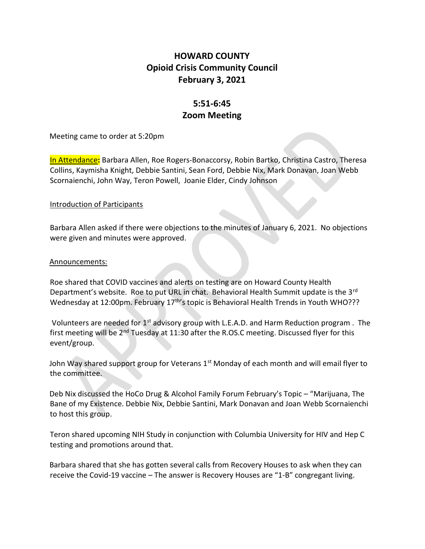## HOWARD COUNTY Opioid Crisis Community Council February 3, 2021

# 5:51-6:45 Zoom Meeting

Meeting came to order at 5:20pm

In Attendance: Barbara Allen, Roe Rogers-Bonaccorsy, Robin Bartko, Christina Castro, Theresa Collins, Kaymisha Knight, Debbie Santini, Sean Ford, Debbie Nix, Mark Donavan, Joan Webb Scornaienchi, John Way, Teron Powell, Joanie Elder, Cindy Johnson

### Introduction of Participants

Barbara Allen asked if there were objections to the minutes of January 6, 2021. No objections were given and minutes were approved.

#### Announcements:

Roe shared that COVID vaccines and alerts on testing are on Howard County Health Department's website. Roe to put URL in chat. Behavioral Health Summit update is the 3<sup>rd</sup> Wednesday at 12:00pm. February  $17<sup>th</sup>$ s topic is Behavioral Health Trends in Youth WHO???

Volunteers are needed for  $1^{st}$  advisory group with L.E.A.D. and Harm Reduction program . The first meeting will be 2nd Tuesday at 11:30 after the R.OS.C meeting. Discussed flyer for this event/group.

John Way shared support group for Veterans  $1<sup>st</sup>$  Monday of each month and will email flyer to the committee.

Deb Nix discussed the HoCo Drug & Alcohol Family Forum February's Topic – "Marijuana, The Bane of my Existence. Debbie Nix, Debbie Santini, Mark Donavan and Joan Webb Scornaienchi to host this group.

Teron shared upcoming NIH Study in conjunction with Columbia University for HIV and Hep C testing and promotions around that.

Barbara shared that she has gotten several calls from Recovery Houses to ask when they can receive the Covid-19 vaccine – The answer is Recovery Houses are "1-B" congregant living.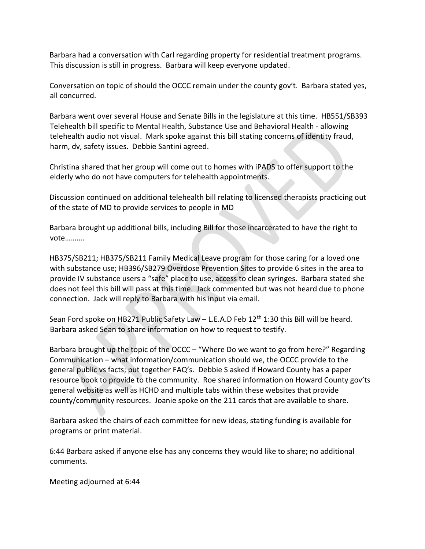Barbara had a conversation with Carl regarding property for residential treatment programs. This discussion is still in progress. Barbara will keep everyone updated.

Conversation on topic of should the OCCC remain under the county gov't. Barbara stated yes, all concurred.

Barbara went over several House and Senate Bills in the legislature at this time. HB551/SB393 Telehealth bill specific to Mental Health, Substance Use and Behavioral Health - allowing telehealth audio not visual. Mark spoke against this bill stating concerns of identity fraud, harm, dv, safety issues. Debbie Santini agreed.

Christina shared that her group will come out to homes with iPADS to offer support to the elderly who do not have computers for telehealth appointments.

Discussion continued on additional telehealth bill relating to licensed therapists practicing out of the state of MD to provide services to people in MD

Barbara brought up additional bills, including Bill for those incarcerated to have the right to vote……….

HB375/SB211; HB375/SB211 Family Medical Leave program for those caring for a loved one with substance use; HB396/SB279 Overdose Prevention Sites to provide 6 sites in the area to provide IV substance users a "safe" place to use, access to clean syringes. Barbara stated she does not feel this bill will pass at this time. Jack commented but was not heard due to phone connection. Jack will reply to Barbara with his input via email.

Sean Ford spoke on HB271 Public Safety Law - L.E.A.D Feb  $12<sup>th</sup> 1:30$  this Bill will be heard. Barbara asked Sean to share information on how to request to testify.

Barbara brought up the topic of the OCCC – "Where Do we want to go from here?" Regarding Communication – what information/communication should we, the OCCC provide to the general public vs facts; put together FAQ's. Debbie S asked if Howard County has a paper resource book to provide to the community. Roe shared information on Howard County gov'ts general website as well as HCHD and multiple tabs within these websites that provide county/community resources. Joanie spoke on the 211 cards that are available to share.

Barbara asked the chairs of each committee for new ideas, stating funding is available for programs or print material.

6:44 Barbara asked if anyone else has any concerns they would like to share; no additional comments.

Meeting adjourned at 6:44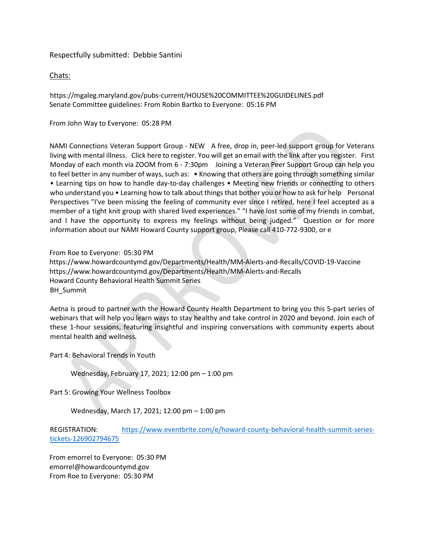#### Respectfully submitted: Debbie Santini

#### Chats:

https://mgaleg.maryland.gov/pubs-current/HOUSE%20COMMITTEE%20GUIDELINES.pdf Senate Committee guidelines: From Robin Bartko to Everyone: 05:16 PM

From John Way to Everyone: 05:28 PM

NAMI Connections Veteran Support Group - NEW A free, drop in, peer-led support group for Veterans living with mental illness. Click here to register. You will get an email with the link after you register. First Monday of each month via ZOOM from 6 - 7:30pm Joining a Veteran Peer Support Group can help you to feel better in any number of ways, such as: • Knowing that others are going through something similar • Learning tips on how to handle day-to-day challenges • Meeting new friends or connecting to others who understand you • Learning how to talk about things that bother you or how to ask for help Personal Perspectives "I've been missing the feeling of community ever since I retired, here I feel accepted as a member of a tight knit group with shared lived experiences." "I have lost some of my friends in combat, and I have the opportunity to express my feelings without being judged." Question or for more information about our NAMI Howard County support group, Please call 410-772-9300, or e

From Roe to Everyone: 05:30 PM https://www.howardcountymd.gov/Departments/Health/MM-Alerts-and-Recalls/COVID-19-Vaccine https://www.howardcountymd.gov/Departments/Health/MM-Alerts-and-Recalls Howard County Behavioral Health Summit Series BH\_Summit

Aetna is proud to partner with the Howard County Health Department to bring you this 5-part series of webinars that will help you learn ways to stay healthy and take control in 2020 and beyond. Join each of these 1-hour sessions, featuring insightful and inspiring conversations with community experts about mental health and wellness.

Part 4: Behavioral Trends in Youth

Wednesday, February 17, 2021; 12:00 pm – 1:00 pm

Part 5: Growing Your Wellness Toolbox

Wednesday, March 17, 2021; 12:00 pm – 1:00 pm

REGISTRATION: https://www.eventbrite.com/e/howard-county-behavioral-health-summit-seriestickets-126902794675

From emorrel to Everyone: 05:30 PM emorrel@howardcountymd.gov From Roe to Everyone: 05:30 PM